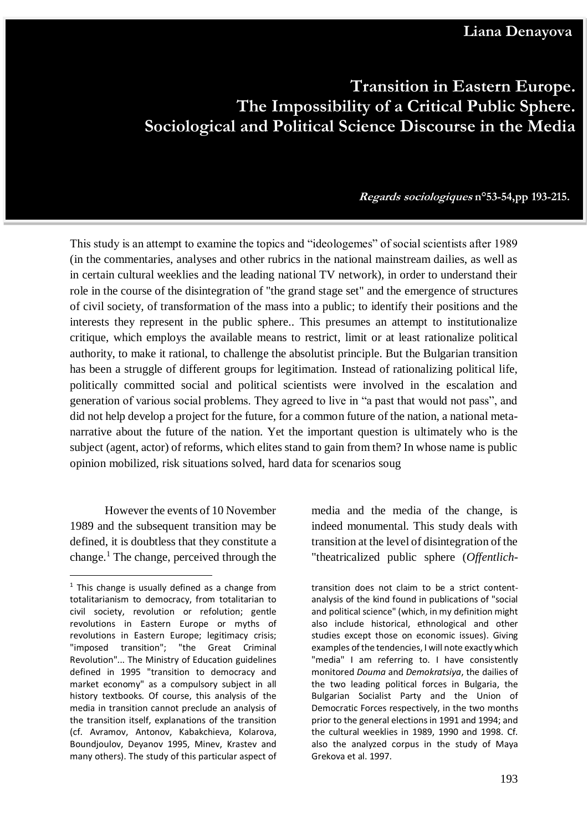## **Transition in Eastern Europe. The Impossibility of a Critical Public Sphere. Sociological and Political Science Discourse in the Media**

**ransition in Eastern Europe. The Impossibility of a Critical Public Sphere.Sociological Regards sociologiques n°53-54,pp 193-215.**

This study is an attempt to examine the topics and "ideologemes" of social scientists after 1989 (in the commentaries, analyses and other rubrics in the national mainstream dailies, as well as in certain cultural weeklies and the leading national TV network), in order to understand their role in the course of the disintegration of "the grand stage set" and the emergence of structures of civil society, of transformation of the mass into a public; to identify their positions and the interests they represent in the public sphere.. This presumes an attempt to institutionalize critique, which employs the available means to restrict, limit or at least rationalize political authority, to make it rational, to challenge the absolutist principle. But the Bulgarian transition has been a struggle of different groups for legitimation. Instead of rationalizing political life, politically committed social and political scientists were involved in the escalation and generation of various social problems. They agreed to live in "a past that would not pass", and did not help develop a project for the future, for a common future of the nation, a national metanarrative about the future of the nation. Yet the important question is ultimately who is the subject (agent, actor) of reforms, which elites stand to gain from them? In whose name is public opinion mobilized, risk situations solved, hard data for scenarios soug

However the events of 10 November 1989 and the subsequent transition may be defined, it is doubtless that they constitute a change.<sup>1</sup> The change, perceived through the

1

**and Political Science Discourse in the Media**

media and the media of the change, is indeed monumental. This study deals with transition at the level of disintegration of the "theatricalized public sphere (*Offentlich-*

transition does not claim to be a strict contentanalysis of the kind found in publications of "social and political science" (which, in my definition might also include historical, ethnological and other studies except those on economic issues). Giving examples of the tendencies, I will note exactly which "media" I am referring to. I have consistently monitored *Douma* and *Demokratsiya*, the dailies of the two leading political forces in Bulgaria, the Bulgarian Socialist Party and the Union of Democratic Forces respectively, in the two months prior to the general elections in 1991 and 1994; and the cultural weeklies in 1989, 1990 and 1998. Cf. also the analyzed corpus in the study of Maya Grekova et al. 1997.

 $1$  This change is usually defined as a change from totalitarianism to democracy, from totalitarian to civil society, revolution or refolution; gentle revolutions in Eastern Europe or myths of revolutions in Eastern Europe; legitimacy crisis; "imposed transition"; "the Great Criminal Revolution"... The Ministry of Education guidelines defined in 1995 "transition to democracy and market economy" as a compulsory subject in all history textbooks. Of course, this analysis of the media in transition cannot preclude an analysis of the transition itself, explanations of the transition (cf. Avramov, Antonov, Kabakchieva, Kolarova, Boundjoulov, Deyanov 1995, Minev, Krastev and many others). The study of this particular aspect of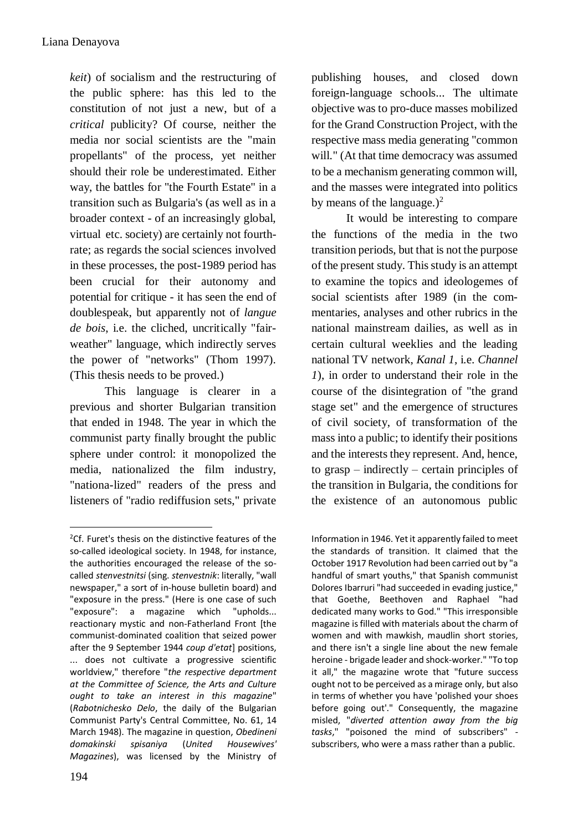*keit*) of socialism and the restructuring of the public sphere: has this led to the constitution of not just a new, but of a *critical* publicity? Of course, neither the media nor social scientists are the "main propellants" of the process, yet neither should their role be underestimated. Either way, the battles for "the Fourth Estate" in a transition such as Bulgaria's (as well as in a broader context - of an increasingly global, virtual etc. society) are certainly not fourthrate; as regards the social sciences involved in these processes, the post-1989 period has been crucial for their autonomy and potential for critique - it has seen the end of doublespeak, but apparently not of *langue de bois*, i.e. the cliched, uncritically "fairweather" language, which indirectly serves the power of "networks" (Thom 1997). (This thesis needs to be proved.)

This language is clearer in a previous and shorter Bulgarian transition that ended in 1948. The year in which the communist party finally brought the public sphere under control: it monopolized the media, nationalized the film industry, "nationa-lized" readers of the press and listeners of "radio rediffusion sets," private publishing houses, and closed down foreign-language schools... The ultimate objective was to pro-duce masses mobilized for the Grand Construction Project, with the respective mass media generating "common will." (At that time democracy was assumed to be a mechanism generating common will, and the masses were integrated into politics by means of the language.)<sup>2</sup>

It would be interesting to compare the functions of the media in the two transition periods, but that is not the purpose of the present study. This study is an attempt to examine the topics and ideologemes of social scientists after 1989 (in the commentaries, analyses and other rubrics in the national mainstream dailies, as well as in certain cultural weeklies and the leading national TV network, *Kanal 1*, i.e. *Channel 1*), in order to understand their role in the course of the disintegration of "the grand stage set" and the emergence of structures of civil society, of transformation of the mass into a public; to identify their positions and the interests they represent. And, hence, to grasp – indirectly – certain principles of the transition in Bulgaria, the conditions for the existence of an autonomous public

1

 $2$ Cf. Furet's thesis on the distinctive features of the so-called ideological society. In 1948, for instance, the authorities encouraged the release of the socalled *stenvestnitsi* (sing. *stenvestnik*: literally, "wall newspaper," a sort of in-house bulletin board) and "exposure in the press." (Here is one case of such "exposure": a magazine which "upholds... reactionary mystic and non-Fatherland Front [the communist-dominated coalition that seized power after the 9 September 1944 *coup d'etat*] positions, ... does not cultivate a progressive scientific worldview," therefore "*the respective department at the Committee of Science, the Arts and Culture ought to take an interest in this magazine*" (*Rabotnichesko Delo*, the daily of the Bulgarian Communist Party's Central Committee, No. 61, 14 March 1948). The magazine in question, *Obedineni domakinski spisaniya* (*United Housewives' Magazines*), was licensed by the Ministry of

Information in 1946. Yet it apparently failed to meet the standards of transition. It claimed that the October 1917 Revolution had been carried out by "a handful of smart youths," that Spanish communist Dolores Ibarruri "had succeeded in evading justice," that Goethe, Beethoven and Raphael "had dedicated many works to God." "This irresponsible magazine is filled with materials about the charm of women and with mawkish, maudlin short stories, and there isn't a single line about the new female heroine - brigade leader and shock-worker." "To top it all," the magazine wrote that "future success ought not to be perceived as a mirage only, but also in terms of whether you have 'polished your shoes before going out'." Consequently, the magazine misled, "*diverted attention away from the big tasks*," "poisoned the mind of subscribers" subscribers, who were a mass rather than a public.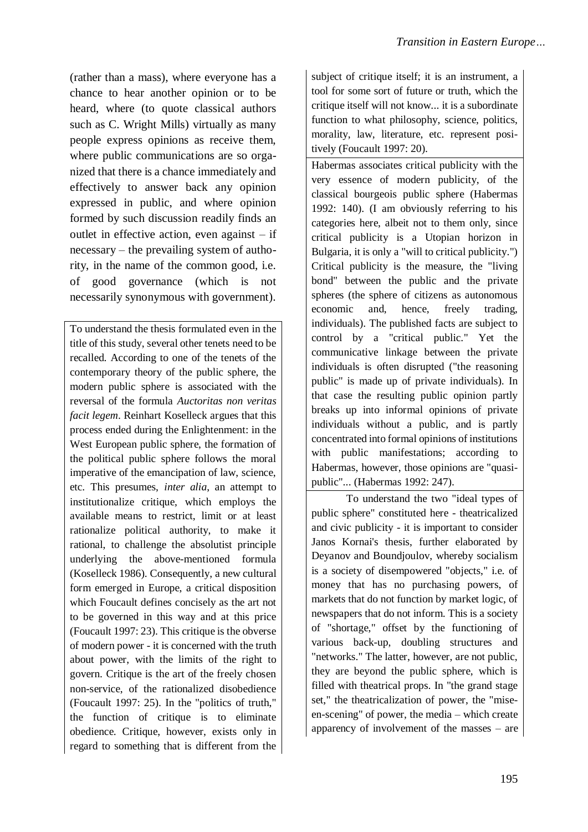(rather than a mass), where everyone has a chance to hear another opinion or to be heard, where (to quote classical authors such as C. Wright Mills) virtually as many people express opinions as receive them, where public communications are so organized that there is a chance immediately and effectively to answer back any opinion expressed in public, and where opinion formed by such discussion readily finds an outlet in effective action, even against – if necessary – the prevailing system of authority, in the name of the common good, i.e. of good governance (which is not necessarily synonymous with government).

To understand the thesis formulated even in the title of this study, several other tenets need to be recalled. According to one of the tenets of the contemporary theory of the public sphere, the modern public sphere is associated with the reversal of the formula *Auctoritas non veritas facit legem*. Reinhart Koselleck argues that this process ended during the Enlightenment: in the West European public sphere, the formation of the political public sphere follows the moral imperative of the emancipation of law, science, etc. This presumes, *inter alia*, an attempt to institutionalize critique, which employs the available means to restrict, limit or at least rationalize political authority, to make it rational, to challenge the absolutist principle underlying the above-mentioned formula (Koselleck 1986). Consequently, a new cultural form emerged in Europe, a critical disposition which Foucault defines concisely as the art not to be governed in this way and at this price (Foucault 1997: 23). This critique is the obverse of modern power - it is concerned with the truth about power, with the limits of the right to govern. Critique is the art of the freely chosen non-service, of the rationalized disobedience (Foucault 1997: 25). In the "politics of truth," the function of critique is to eliminate obedience. Critique, however, exists only in regard to something that is different from the

subject of critique itself; it is an instrument, a tool for some sort of future or truth, which the critique itself will not know... it is a subordinate function to what philosophy, science, politics, morality, law, literature, etc. represent positively (Foucault 1997: 20).

Habermas associates critical publicity with the very essence of modern publicity, of the classical bourgeois public sphere (Habermas 1992: 140). (I am obviously referring to his categories here, albeit not to them only, since critical publicity is a Utopian horizon in Bulgaria, it is only a "will to critical publicity.") Critical publicity is the measure, the "living bond" between the public and the private spheres (the sphere of citizens as autonomous economic and, hence, freely trading, individuals). The published facts are subject to control by a "critical public." Yet the communicative linkage between the private individuals is often disrupted ("the reasoning public" is made up of private individuals). In that case the resulting public opinion partly breaks up into informal opinions of private individuals without a public, and is partly concentrated into formal opinions of institutions with public manifestations; according to Habermas, however, those opinions are "quasipublic"... (Habermas 1992: 247).

To understand the two "ideal types of public sphere" constituted here - theatricalized and civic publicity - it is important to consider Janos Kornai's thesis, further elaborated by Deyanov and Boundjoulov, whereby socialism is a society of disempowered "objects," i.e. of money that has no purchasing powers, of markets that do not function by market logic, of newspapers that do not inform. This is a society of "shortage," offset by the functioning of various back-up, doubling structures and "networks." The latter, however, are not public, they are beyond the public sphere, which is filled with theatrical props. In "the grand stage set," the theatricalization of power, the "miseen-scening" of power, the media – which create apparency of involvement of the masses – are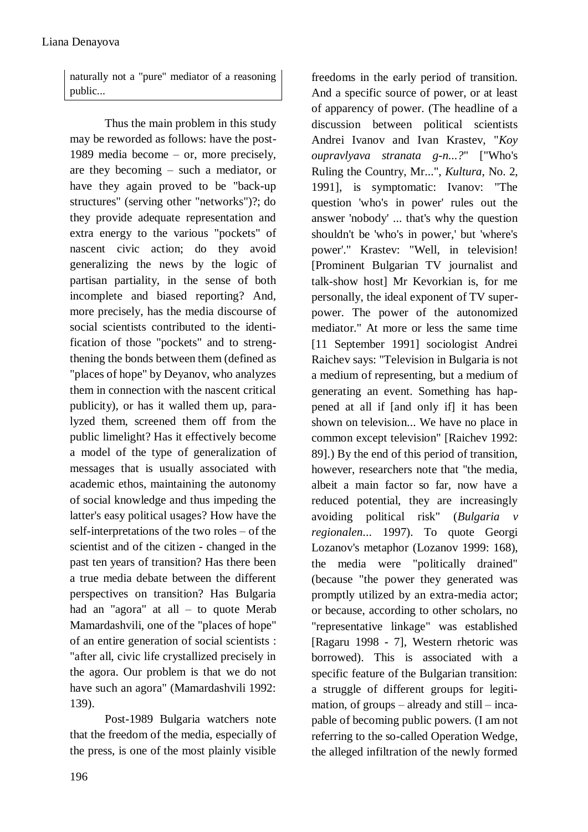naturally not a "pure" mediator of a reasoning public...

Thus the main problem in this study may be reworded as follows: have the post-1989 media become – or, more precisely, are they becoming – such a mediator, or have they again proved to be "back-up structures" (serving other "networks")?; do they provide adequate representation and extra energy to the various "pockets" of nascent civic action; do they avoid generalizing the news by the logic of partisan partiality, in the sense of both incomplete and biased reporting? And, more precisely, has the media discourse of social scientists contributed to the identification of those "pockets" and to strengthening the bonds between them (defined as "places of hope" by Deyanov, who analyzes them in connection with the nascent critical publicity), or has it walled them up, paralyzed them, screened them off from the public limelight? Has it effectively become a model of the type of generalization of messages that is usually associated with academic ethos, maintaining the autonomy of social knowledge and thus impeding the latter's easy political usages? How have the self-interpretations of the two roles – of the scientist and of the citizen - changed in the past ten years of transition? Has there been a true media debate between the different perspectives on transition? Has Bulgaria had an "agora" at all – to quote Merab Mamardashvili, one of the "places of hope" of an entire generation of social scientists : "after all, civic life crystallized precisely in the agora. Our problem is that we do not have such an agora" (Mamardashvili 1992: 139).

Post-1989 Bulgaria watchers note that the freedom of the media, especially of the press, is one of the most plainly visible freedoms in the early period of transition. And a specific source of power, or at least of apparency of power. (The headline of a discussion between political scientists Andrei Ivanov and Ivan Krastev, "*Koy oupravlyava stranata g-n...?*" ["Who's Ruling the Country, Mr...", *Kultura*, No. 2, 1991], is symptomatic: Ivanov: "The question 'who's in power' rules out the answer 'nobody' ... that's why the question shouldn't be 'who's in power,' but 'where's power'." Krastev: "Well, in television! [Prominent Bulgarian TV journalist and talk-show host] Mr Kevorkian is, for me personally, the ideal exponent of TV superpower. The power of the autonomized mediator." At more or less the same time [11 September 1991] sociologist Andrei Raichev says: "Television in Bulgaria is not a medium of representing, but a medium of generating an event. Something has happened at all if [and only if] it has been shown on television... We have no place in common except television" [Raichev 1992: 89].) By the end of this period of transition, however, researchers note that "the media, albeit a main factor so far, now have a reduced potential, they are increasingly avoiding political risk" (*Bulgaria v regionalen*... 1997). To quote Georgi Lozanov's metaphor (Lozanov 1999: 168), the media were "politically drained" (because "the power they generated was promptly utilized by an extra-media actor; or because, according to other scholars, no "representative linkage" was established [Ragaru 1998 - 7], Western rhetoric was borrowed). This is associated with a specific feature of the Bulgarian transition: a struggle of different groups for legitimation, of groups – already and still – incapable of becoming public powers. (I am not referring to the so-called Operation Wedge, the alleged infiltration of the newly formed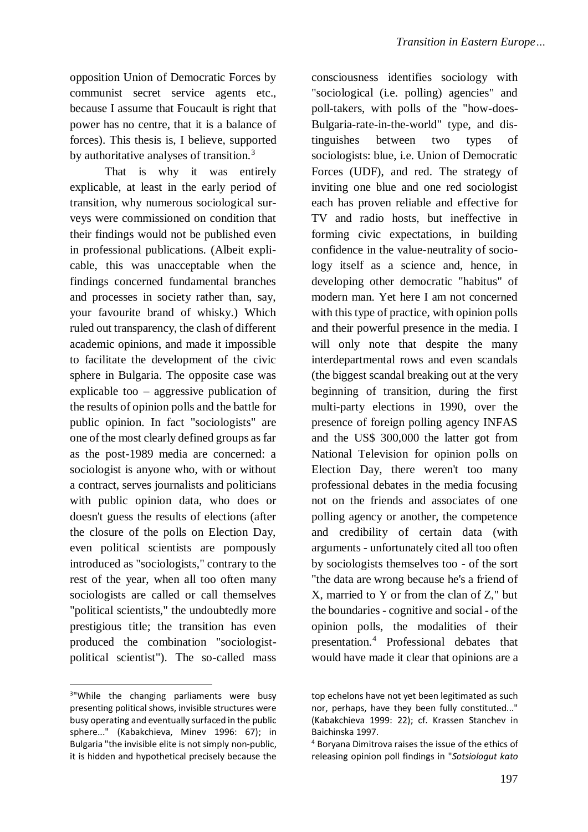opposition Union of Democratic Forces by communist secret service agents etc., because I assume that Foucault is right that power has no centre, that it is a balance of forces). This thesis is, I believe, supported by authoritative analyses of transition.<sup>3</sup>

That is why it was entirely explicable, at least in the early period of transition, why numerous sociological surveys were commissioned on condition that their findings would not be published even in professional publications. (Albeit explicable, this was unacceptable when the findings concerned fundamental branches and processes in society rather than, say, your favourite brand of whisky.) Which ruled out transparency, the clash of different academic opinions, and made it impossible to facilitate the development of the civic sphere in Bulgaria. The opposite case was explicable too – aggressive publication of the results of opinion polls and the battle for public opinion. In fact "sociologists" are one of the most clearly defined groups as far as the post-1989 media are concerned: a sociologist is anyone who, with or without a contract, serves journalists and politicians with public opinion data, who does or doesn't guess the results of elections (after the closure of the polls on Election Day, even political scientists are pompously introduced as "sociologists," contrary to the rest of the year, when all too often many sociologists are called or call themselves "political scientists," the undoubtedly more prestigious title; the transition has even produced the combination "sociologistpolitical scientist"). The so-called mass

1

consciousness identifies sociology with "sociological (i.e. polling) agencies" and poll-takers, with polls of the "how-does-Bulgaria-rate-in-the-world" type, and distinguishes between two types of sociologists: blue, i.e. Union of Democratic Forces (UDF), and red. The strategy of inviting one blue and one red sociologist each has proven reliable and effective for TV and radio hosts, but ineffective in forming civic expectations, in building confidence in the value-neutrality of sociology itself as a science and, hence, in developing other democratic "habitus" of modern man. Yet here I am not concerned with this type of practice, with opinion polls and their powerful presence in the media. I will only note that despite the many interdepartmental rows and even scandals (the biggest scandal breaking out at the very beginning of transition, during the first multi-party elections in 1990, over the presence of foreign polling agency INFAS and the US\$ 300,000 the latter got from National Television for opinion polls on Election Day, there weren't too many professional debates in the media focusing not on the friends and associates of one polling agency or another, the competence and credibility of certain data (with arguments - unfortunately cited all too often by sociologists themselves too - of the sort "the data are wrong because he's a friend of X, married to Y or from the clan of Z," but the boundaries - cognitive and social - of the opinion polls, the modalities of their presentation.<sup>4</sup> Professional debates that would have made it clear that opinions are a

<sup>&</sup>lt;sup>3</sup>"While the changing parliaments were busy presenting political shows, invisible structures were busy operating and eventually surfaced in the public sphere..." (Kabakchieva, Minev 1996: 67); in Bulgaria "the invisible elite is not simply non-public, it is hidden and hypothetical precisely because the

top echelons have not yet been legitimated as such nor, perhaps, have they been fully constituted..." (Kabakchieva 1999: 22); cf. Krassen Stanchev in Baichinska 1997.

<sup>4</sup> Boryana Dimitrova raises the issue of the ethics of releasing opinion poll findings in "*Sotsiologut kato*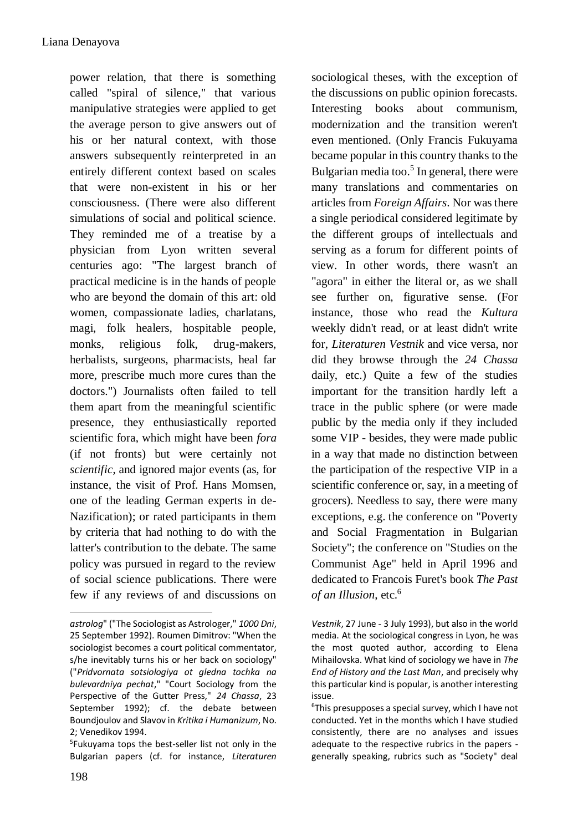power relation, that there is something called "spiral of silence," that various manipulative strategies were applied to get the average person to give answers out of his or her natural context, with those answers subsequently reinterpreted in an entirely different context based on scales that were non-existent in his or her consciousness. (There were also different simulations of social and political science. They reminded me of a treatise by a physician from Lyon written several centuries ago: "The largest branch of practical medicine is in the hands of people who are beyond the domain of this art: old women, compassionate ladies, charlatans, magi, folk healers, hospitable people, monks, religious folk, drug-makers, herbalists, surgeons, pharmacists, heal far more, prescribe much more cures than the doctors.") Journalists often failed to tell them apart from the meaningful scientific presence, they enthusiastically reported scientific fora, which might have been *fora* (if not fronts) but were certainly not *scientific*, and ignored major events (as, for instance, the visit of Prof. Hans Momsen, one of the leading German experts in de-Nazification); or rated participants in them by criteria that had nothing to do with the latter's contribution to the debate. The same policy was pursued in regard to the review of social science publications. There were few if any reviews of and discussions on sociological theses, with the exception of the discussions on public opinion forecasts. Interesting books about communism, modernization and the transition weren't even mentioned. (Only Francis Fukuyama became popular in this country thanks to the Bulgarian media too.<sup>5</sup> In general, there were many translations and commentaries on articles from *Foreign Affairs*. Nor was there a single periodical considered legitimate by the different groups of intellectuals and serving as a forum for different points of view. In other words, there wasn't an "agora" in either the literal or, as we shall see further on, figurative sense. (For instance, those who read the *Kultura* weekly didn't read, or at least didn't write for, *Literaturen Vestnik* and vice versa, nor did they browse through the *24 Chassa* daily, etc.) Quite a few of the studies important for the transition hardly left a trace in the public sphere (or were made public by the media only if they included some VIP - besides, they were made public in a way that made no distinction between the participation of the respective VIP in a scientific conference or, say, in a meeting of grocers). Needless to say, there were many exceptions, e.g. the conference on "Poverty and Social Fragmentation in Bulgarian Society"; the conference on "Studies on the Communist Age" held in April 1996 and dedicated to Francois Furet's book *The Past of an Illusion*, etc.<sup>6</sup>

1

*astrolog*" ("The Sociologist as Astrologer," *1000 Dni*, 25 September 1992). Roumen Dimitrov: "When the sociologist becomes a court political commentator, s/he inevitably turns his or her back on sociology" ("*Pridvornata sotsiologiya ot gledna tochka na bulevardniya pechat*," "Court Sociology from the Perspective of the Gutter Press," *24 Chassa*, 23 September 1992); cf. the debate between Boundjoulov and Slavov in *Kritika i Humanizum*, No. 2; Venedikov 1994.

<sup>5</sup> Fukuyama tops the best-seller list not only in the Bulgarian papers (cf. for instance, *Literaturen* 

*Vestnik*, 27 June - 3 July 1993), but also in the world media. At the sociological congress in Lyon, he was the most quoted author, according to Elena Mihailovska. What kind of sociology we have in *The End of History and the Last Man*, and precisely why this particular kind is popular, is another interesting issue.

 $6$ This presupposes a special survey, which I have not conducted. Yet in the months which I have studied consistently, there are no analyses and issues adequate to the respective rubrics in the papers generally speaking, rubrics such as "Society" deal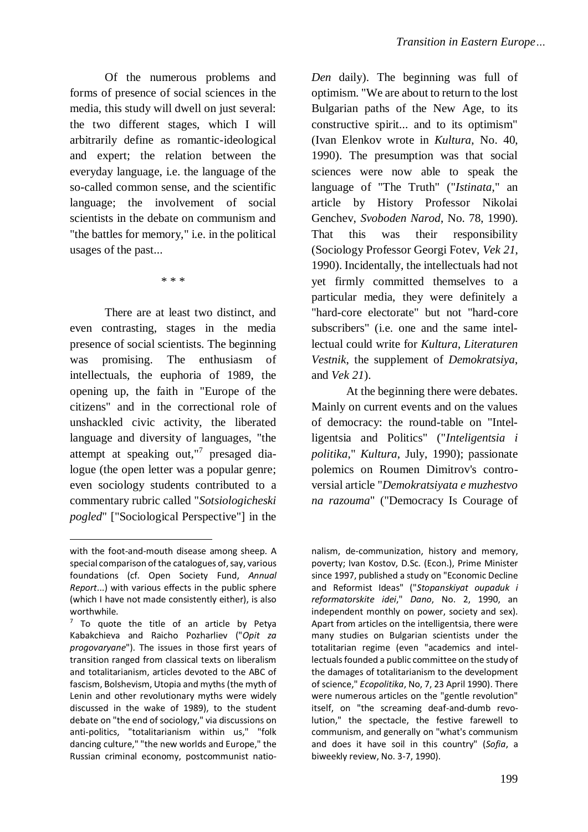Of the numerous problems and forms of presence of social sciences in the media, this study will dwell on just several: the two different stages, which I will arbitrarily define as romantic-ideological and expert; the relation between the everyday language, i.e. the language of the so-called common sense, and the scientific language; the involvement of social scientists in the debate on communism and "the battles for memory," i.e. in the political usages of the past...

\* \* \*

There are at least two distinct, and even contrasting, stages in the media presence of social scientists. The beginning was promising. The enthusiasm of intellectuals, the euphoria of 1989, the opening up, the faith in "Europe of the citizens" and in the correctional role of unshackled civic activity, the liberated language and diversity of languages, "the attempt at speaking out,"<sup>7</sup> presaged dialogue (the open letter was a popular genre; even sociology students contributed to a commentary rubric called "*Sotsiologicheski pogled*" ["Sociological Perspective"] in the

<u>.</u>

*Den* daily). The beginning was full of optimism. "We are about to return to the lost Bulgarian paths of the New Age, to its constructive spirit... and to its optimism" (Ivan Elenkov wrote in *Kultura*, No. 40, 1990). The presumption was that social sciences were now able to speak the language of "The Truth" ("*Istinata*," an article by History Professor Nikolai Genchev, *Svoboden Narod*, No. 78, 1990). That this was their responsibility (Sociology Professor Georgi Fotev, *Vek 21*, 1990). Incidentally, the intellectuals had not yet firmly committed themselves to a particular media, they were definitely a "hard-core electorate" but not "hard-core subscribers" (i.e. one and the same intellectual could write for *Kultura*, *Literaturen Vestnik*, the supplement of *Demokratsiya*, and *Vek 21*).

At the beginning there were debates. Mainly on current events and on the values of democracy: the round-table on "Intelligentsia and Politics" ("*Inteligentsia i politika*," *Kultura*, July, 1990); passionate polemics on Roumen Dimitrov's controversial article "*Demokratsiyata e muzhestvo na razouma*" ("Democracy Is Courage of

nalism, de-communization, history and memory, poverty; Ivan Kostov, D.Sc. (Econ.), Prime Minister since 1997, published a study on "Economic Decline and Reformist Ideas" ("*Stopanskiyat oupaduk i reformatorskite idei*," *Dano*, No. 2, 1990, an independent monthly on power, society and sex). Apart from articles on the intelligentsia, there were many studies on Bulgarian scientists under the totalitarian regime (even "academics and intellectuals founded a public committee on the study of the damages of totalitarianism to the development of science," *Ecopolitika*, No, 7, 23 April 1990). There were numerous articles on the "gentle revolution" itself, on "the screaming deaf-and-dumb revolution," the spectacle, the festive farewell to communism, and generally on "what's communism and does it have soil in this country" (*Sofia*, a biweekly review, No. 3-7, 1990).

with the foot-and-mouth disease among sheep. A special comparison of the catalogues of, say, various foundations (cf. Open Society Fund, *Annual Report*...) with various effects in the public sphere (which I have not made consistently either), is also worthwhile.

 $7$  To quote the title of an article by Petya Kabakchieva and Raicho Pozharliev ("*Opit za progovaryane*"). The issues in those first years of transition ranged from classical texts on liberalism and totalitarianism, articles devoted to the ABC of fascism, Bolshevism, Utopia and myths (the myth of Lenin and other revolutionary myths were widely discussed in the wake of 1989), to the student debate on "the end of sociology," via discussions on anti-politics, "totalitarianism within us," "folk dancing culture," "the new worlds and Europe," the Russian criminal economy, postcommunist natio-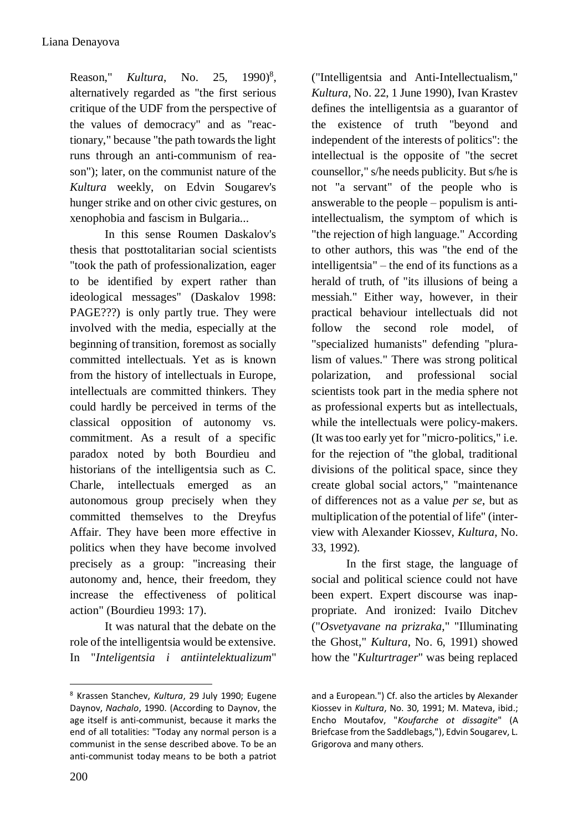Reason," *Kultura*, No. 25,  $1990)^8$ , alternatively regarded as "the first serious critique of the UDF from the perspective of the values of democracy" and as "reactionary," because "the path towards the light runs through an anti-communism of reason"); later, on the communist nature of the *Kultura* weekly, on Edvin Sougarev's hunger strike and on other civic gestures, on xenophobia and fascism in Bulgaria...

In this sense Roumen Daskalov's thesis that posttotalitarian social scientists "took the path of professionalization, eager to be identified by expert rather than ideological messages" (Daskalov 1998: PAGE???) is only partly true. They were involved with the media, especially at the beginning of transition, foremost as socially committed intellectuals. Yet as is known from the history of intellectuals in Europe, intellectuals are committed thinkers. They could hardly be perceived in terms of the classical opposition of autonomy vs. commitment. As a result of a specific paradox noted by both Bourdieu and historians of the intelligentsia such as C. Charle, intellectuals emerged as an autonomous group precisely when they committed themselves to the Dreyfus Affair. They have been more effective in politics when they have become involved precisely as a group: "increasing their autonomy and, hence, their freedom, they increase the effectiveness of political action" (Bourdieu 1993: 17).

It was natural that the debate on the role of the intelligentsia would be extensive. In "*Inteligentsia i antiintelektualizum*" ("Intelligentsia and Anti-Intellectualism," *Kultura*, No. 22, 1 June 1990), Ivan Krastev defines the intelligentsia as a guarantor of the existence of truth "beyond and independent of the interests of politics": the intellectual is the opposite of "the secret counsellor," s/he needs publicity. But s/he is not "a servant" of the people who is answerable to the people – populism is antiintellectualism, the symptom of which is "the rejection of high language." According to other authors, this was "the end of the intelligentsia" – the end of its functions as a herald of truth, of "its illusions of being a messiah." Either way, however, in their practical behaviour intellectuals did not follow the second role model, of "specialized humanists" defending "pluralism of values." There was strong political polarization, and professional social scientists took part in the media sphere not as professional experts but as intellectuals, while the intellectuals were policy-makers. (It was too early yet for "micro-politics," i.e. for the rejection of "the global, traditional divisions of the political space, since they create global social actors," "maintenance of differences not as a value *per se*, but as multiplication of the potential of life" (interview with Alexander Kiossev, *Kultura*, No. 33, 1992).

In the first stage, the language of social and political science could not have been expert. Expert discourse was inappropriate. And ironized: Ivailo Ditchev ("*Osvetyavane na prizraka*," "Illuminating the Ghost," *Kultura*, No. 6, 1991) showed how the "*Kulturtrager*" was being replaced

1

<sup>8</sup> Krassen Stanchev, *Kultura*, 29 July 1990; Eugene Daynov, *Nachalo*, 1990. (According to Daynov, the age itself is anti-communist, because it marks the end of all totalities: "Today any normal person is a communist in the sense described above. To be an anti-communist today means to be both a patriot

and a European.") Cf. also the articles by Alexander Kiossev in *Kultura*, No. 30, 1991; M. Mateva, ibid.; Encho Moutafov, "*Koufarche ot dissagite*" (A Briefcase from the Saddlebags,"), Edvin Sougarev, L. Grigorova and many others.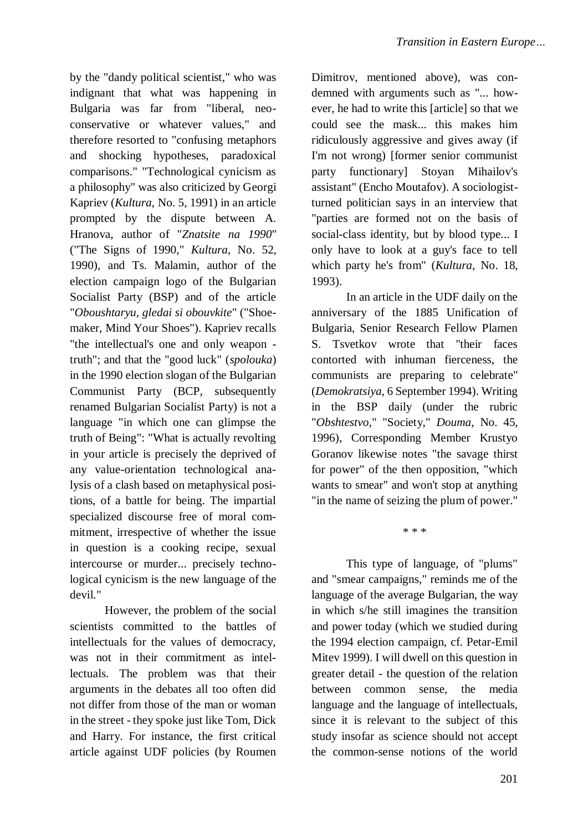by the "dandy political scientist," who was indignant that what was happening in Bulgaria was far from "liberal, neoconservative or whatever values," and therefore resorted to "confusing metaphors and shocking hypotheses, paradoxical comparisons." "Technological cynicism as a philosophy" was also criticized by Georgi Kapriev (*Kultura*, No. 5, 1991) in an article prompted by the dispute between A. Hranova, author of "*Znatsite na 1990*" ("The Signs of 1990," *Kultura*, No. 52, 1990), and Ts. Malamin, author of the election campaign logo of the Bulgarian Socialist Party (BSP) and of the article "*Oboushtaryu, gledai si obouvkite*" ("Shoemaker, Mind Your Shoes"). Kapriev recalls "the intellectual's one and only weapon truth"; and that the "good luck" (*spolouka*) in the 1990 election slogan of the Bulgarian Communist Party (BCP, subsequently renamed Bulgarian Socialist Party) is not a language "in which one can glimpse the truth of Being": "What is actually revolting in your article is precisely the deprived of any value-orientation technological analysis of a clash based on metaphysical positions, of a battle for being. The impartial specialized discourse free of moral commitment, irrespective of whether the issue in question is a cooking recipe, sexual intercourse or murder... precisely technological cynicism is the new language of the devil."

However, the problem of the social scientists committed to the battles of intellectuals for the values of democracy, was not in their commitment as intellectuals. The problem was that their arguments in the debates all too often did not differ from those of the man or woman in the street - they spoke just like Tom, Dick and Harry. For instance, the first critical article against UDF policies (by Roumen Dimitrov, mentioned above), was condemned with arguments such as "... however, he had to write this [article] so that we could see the mask... this makes him ridiculously aggressive and gives away (if I'm not wrong) [former senior communist party functionary] Stoyan Mihailov's assistant" (Encho Moutafov). A sociologistturned politician says in an interview that "parties are formed not on the basis of social-class identity, but by blood type... I only have to look at a guy's face to tell which party he's from" (*Kultura*, No. 18, 1993).

In an article in the UDF daily on the anniversary of the 1885 Unification of Bulgaria, Senior Research Fellow Plamen S. Tsvetkov wrote that "their faces contorted with inhuman fierceness, the communists are preparing to celebrate" (*Demokratsiya*, 6 September 1994). Writing in the BSP daily (under the rubric "*Obshtestvo*," "Society," *Douma*, No. 45, 1996), Corresponding Member Krustyo Goranov likewise notes "the savage thirst for power" of the then opposition, "which wants to smear" and won't stop at anything "in the name of seizing the plum of power."

\* \* \*

This type of language, of "plums" and "smear campaigns," reminds me of the language of the average Bulgarian, the way in which s/he still imagines the transition and power today (which we studied during the 1994 election campaign, cf. Petar-Emil Mitev 1999). I will dwell on this question in greater detail - the question of the relation between common sense, the media language and the language of intellectuals, since it is relevant to the subject of this study insofar as science should not accept the common-sense notions of the world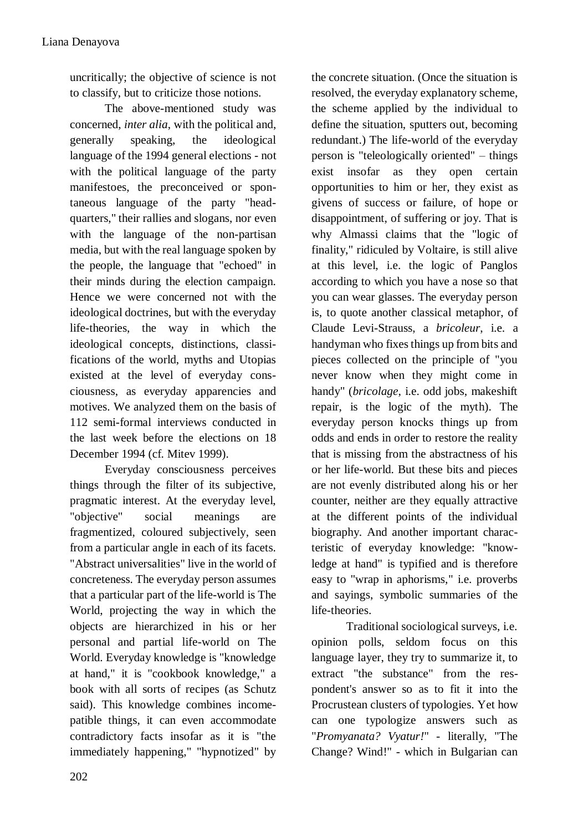uncritically; the objective of science is not to classify, but to criticize those notions.

The above-mentioned study was concerned, *inter alia*, with the political and, generally speaking, the ideological language of the 1994 general elections - not with the political language of the party manifestoes, the preconceived or spontaneous language of the party "headquarters," their rallies and slogans, nor even with the language of the non-partisan media, but with the real language spoken by the people, the language that "echoed" in their minds during the election campaign. Hence we were concerned not with the ideological doctrines, but with the everyday life-theories, the way in which the ideological concepts, distinctions, classifications of the world, myths and Utopias existed at the level of everyday consciousness, as everyday apparencies and motives. We analyzed them on the basis of 112 semi-formal interviews conducted in the last week before the elections on 18 December 1994 (cf. Mitev 1999).

Everyday consciousness perceives things through the filter of its subjective, pragmatic interest. At the everyday level, "objective" social meanings are fragmentized, coloured subjectively, seen from a particular angle in each of its facets. "Abstract universalities" live in the world of concreteness. The everyday person assumes that a particular part of the life-world is The World, projecting the way in which the objects are hierarchized in his or her personal and partial life-world on The World. Everyday knowledge is "knowledge at hand," it is "cookbook knowledge," a book with all sorts of recipes (as Schutz said). This knowledge combines incomepatible things, it can even accommodate contradictory facts insofar as it is "the immediately happening," "hypnotized" by

the concrete situation. (Once the situation is resolved, the everyday explanatory scheme, the scheme applied by the individual to define the situation, sputters out, becoming redundant.) The life-world of the everyday person is "teleologically oriented" – things exist insofar as they open certain opportunities to him or her, they exist as givens of success or failure, of hope or disappointment, of suffering or joy. That is why Almassi claims that the "logic of finality," ridiculed by Voltaire, is still alive at this level, i.e. the logic of Panglos according to which you have a nose so that you can wear glasses. The everyday person is, to quote another classical metaphor, of Claude Levi-Strauss, a *bricoleur*, i.e. a handyman who fixes things up from bits and pieces collected on the principle of "you never know when they might come in handy" (*bricolage*, i.e. odd jobs, makeshift repair, is the logic of the myth). The everyday person knocks things up from odds and ends in order to restore the reality that is missing from the abstractness of his or her life-world. But these bits and pieces are not evenly distributed along his or her counter, neither are they equally attractive at the different points of the individual biography. And another important characteristic of everyday knowledge: "knowledge at hand" is typified and is therefore easy to "wrap in aphorisms," i.e. proverbs and sayings, symbolic summaries of the life-theories.

Traditional sociological surveys, i.e. opinion polls, seldom focus on this language layer, they try to summarize it, to extract "the substance" from the respondent's answer so as to fit it into the Procrustean clusters of typologies. Yet how can one typologize answers such as "*Promyanata? Vyatur!*" - literally, "The Change? Wind!" - which in Bulgarian can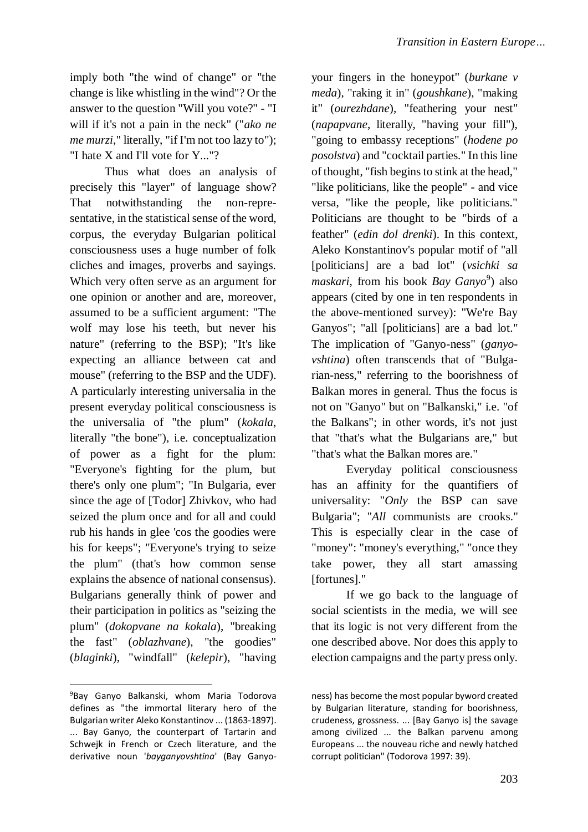imply both "the wind of change" or "the change is like whistling in the wind"? Or the answer to the question "Will you vote?" - "I will if it's not a pain in the neck" ("*ako ne me murzi*," literally, "if I'm not too lazy to"); "I hate X and I'll vote for Y..."?

Thus what does an analysis of precisely this "layer" of language show? That notwithstanding the non-representative, in the statistical sense of the word, corpus, the everyday Bulgarian political consciousness uses a huge number of folk cliches and images, proverbs and sayings. Which very often serve as an argument for one opinion or another and are, moreover, assumed to be a sufficient argument: "The wolf may lose his teeth, but never his nature" (referring to the BSP); "It's like expecting an alliance between cat and mouse" (referring to the BSP and the UDF). A particularly interesting universalia in the present everyday political consciousness is the universalia of "the plum" (*kokala*, literally "the bone"), i.e. conceptualization of power as a fight for the plum: "Everyone's fighting for the plum, but there's only one plum"; "In Bulgaria, ever since the age of [Todor] Zhivkov, who had seized the plum once and for all and could rub his hands in glee 'cos the goodies were his for keeps"; "Everyone's trying to seize the plum" (that's how common sense explains the absence of national consensus). Bulgarians generally think of power and their participation in politics as "seizing the plum" (*dokopvane na kokala*), "breaking the fast" (*oblazhvane*), "the goodies" (*blaginki*), "windfall" (*kelepir*), "having

1

your fingers in the honeypot" (*burkane v meda*), "raking it in" (*goushkane*), "making it" (*ourezhdane*), "feathering your nest" (*napapvane*, literally, "having your fill"), "going to embassy receptions" (*hodene po posolstva*) and "cocktail parties." In this line of thought, "fish begins to stink at the head," "like politicians, like the people" - and vice versa, "like the people, like politicians." Politicians are thought to be "birds of a feather" (*edin dol drenki*). In this context, Aleko Konstantinov's popular motif of "all [politicians] are a bad lot" (*vsichki sa*  maskari, from his book *Bay Ganyo*<sup>9</sup>) also appears (cited by one in ten respondents in the above-mentioned survey): "We're Bay Ganyos"; "all [politicians] are a bad lot." The implication of "Ganyo-ness" (*ganyovshtina*) often transcends that of "Bulgarian-ness," referring to the boorishness of Balkan mores in general. Thus the focus is not on "Ganyo" but on "Balkanski," i.e. "of the Balkans"; in other words, it's not just that "that's what the Bulgarians are," but "that's what the Balkan mores are."

Everyday political consciousness has an affinity for the quantifiers of universality: "*Only* the BSP can save Bulgaria"; "*All* communists are crooks." This is especially clear in the case of "money": "money's everything," "once they take power, they all start amassing [fortunes]."

If we go back to the language of social scientists in the media, we will see that its logic is not very different from the one described above. Nor does this apply to election campaigns and the party press only.

<sup>9</sup>Bay Ganyo Balkanski, whom Maria Todorova defines as "the immortal literary hero of the Bulgarian writer Aleko Konstantinov ... (1863-1897). ... Bay Ganyo, the counterpart of Tartarin and Schwejk in French or Czech literature, and the derivative noun '*bayganyovshtina*' (Bay Ganyo-

ness) has become the most popular byword created by Bulgarian literature, standing for boorishness, crudeness, grossness. ... [Bay Ganyo is] the savage among civilized ... the Balkan parvenu among Europeans ... the nouveau riche and newly hatched corrupt politician" (Todorova 1997: 39).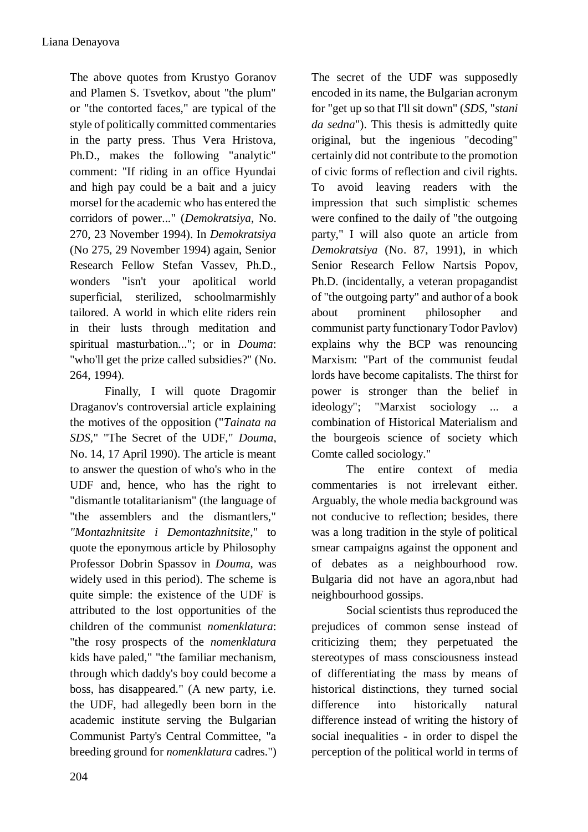The above quotes from Krustyo Goranov and Plamen S. Tsvetkov, about "the plum" or "the contorted faces," are typical of the style of politically committed commentaries in the party press. Thus Vera Hristova, Ph.D., makes the following "analytic" comment: "If riding in an office Hyundai and high pay could be a bait and a juicy morsel for the academic who has entered the corridors of power..." (*Demokratsiya*, No. 270, 23 November 1994). In *Demokratsiya* (No 275, 29 November 1994) again, Senior Research Fellow Stefan Vassev, Ph.D., wonders "isn't your apolitical world superficial, sterilized, schoolmarmishly tailored. A world in which elite riders rein in their lusts through meditation and spiritual masturbation..."; or in *Douma*: "who'll get the prize called subsidies?" (No. 264, 1994).

Finally, I will quote Dragomir Draganov's controversial article explaining the motives of the opposition ("*Tainata na SDS*," "The Secret of the UDF," *Douma*, No. 14, 17 April 1990). The article is meant to answer the question of who's who in the UDF and, hence, who has the right to "dismantle totalitarianism" (the language of "the assemblers and the dismantlers," *"Montazhnitsite i Demontazhnitsite*," to quote the eponymous article by Philosophy Professor Dobrin Spassov in *Douma*, was widely used in this period). The scheme is quite simple: the existence of the UDF is attributed to the lost opportunities of the children of the communist *nomenklatura*: "the rosy prospects of the *nomenklatura* kids have paled," "the familiar mechanism, through which daddy's boy could become a boss, has disappeared." (A new party, i.e. the UDF, had allegedly been born in the academic institute serving the Bulgarian Communist Party's Central Committee, "a breeding ground for *nomenklatura* cadres.")

The secret of the UDF was supposedly encoded in its name, the Bulgarian acronym for "get up so that I'll sit down" (*SDS*, "*stani da sedna*"). This thesis is admittedly quite original, but the ingenious "decoding" certainly did not contribute to the promotion of civic forms of reflection and civil rights. To avoid leaving readers with the impression that such simplistic schemes were confined to the daily of "the outgoing party," I will also quote an article from *Demokratsiya* (No. 87, 1991), in which Senior Research Fellow Nartsis Popov, Ph.D. (incidentally, a veteran propagandist of "the outgoing party" and author of a book about prominent philosopher and communist party functionary Todor Pavlov) explains why the BCP was renouncing Marxism: "Part of the communist feudal lords have become capitalists. The thirst for power is stronger than the belief in ideology"; "Marxist sociology ... a combination of Historical Materialism and the bourgeois science of society which Comte called sociology."

The entire context of media commentaries is not irrelevant either. Arguably, the whole media background was not conducive to reflection; besides, there was a long tradition in the style of political smear campaigns against the opponent and of debates as a neighbourhood row. Bulgaria did not have an agora,nbut had neighbourhood gossips.

Social scientists thus reproduced the prejudices of common sense instead of criticizing them; they perpetuated the stereotypes of mass consciousness instead of differentiating the mass by means of historical distinctions, they turned social difference into historically natural difference instead of writing the history of social inequalities - in order to dispel the perception of the political world in terms of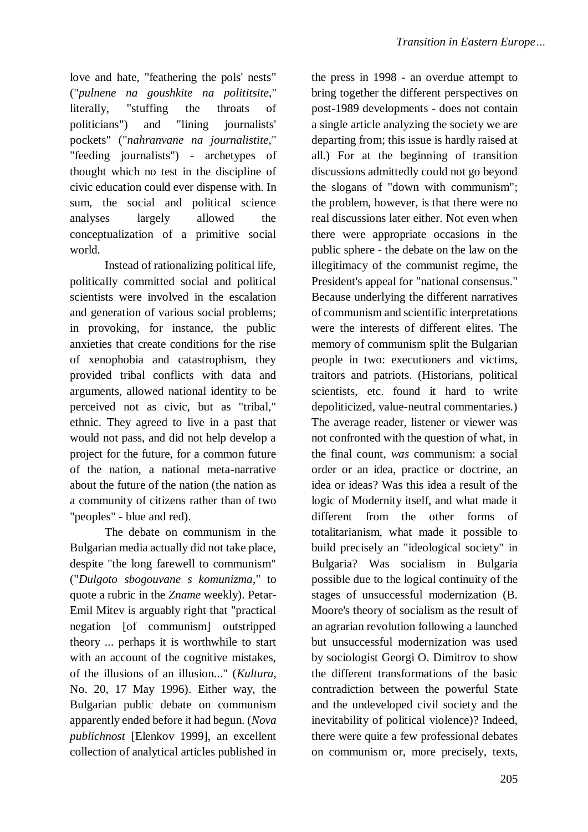love and hate, "feathering the pols' nests" ("*pulnene na goushkite na polititsite*," literally, "stuffing the throats of politicians") and "lining journalists' pockets" ("*nahranvane na journalistite*," "feeding journalists") - archetypes of thought which no test in the discipline of civic education could ever dispense with. In sum, the social and political science analyses largely allowed the conceptualization of a primitive social world.

Instead of rationalizing political life, politically committed social and political scientists were involved in the escalation and generation of various social problems; in provoking, for instance, the public anxieties that create conditions for the rise of xenophobia and catastrophism, they provided tribal conflicts with data and arguments, allowed national identity to be perceived not as civic, but as "tribal," ethnic. They agreed to live in a past that would not pass, and did not help develop a project for the future, for a common future of the nation, a national meta-narrative about the future of the nation (the nation as a community of citizens rather than of two "peoples" - blue and red).

The debate on communism in the Bulgarian media actually did not take place, despite "the long farewell to communism" ("*Dulgoto sbogouvane s komunizma*," to quote a rubric in the *Zname* weekly). Petar-Emil Mitev is arguably right that "practical negation [of communism] outstripped theory ... perhaps it is worthwhile to start with an account of the cognitive mistakes, of the illusions of an illusion..." (*Kultura*, No. 20, 17 May 1996). Either way, the Bulgarian public debate on communism apparently ended before it had begun. (*Nova publichnost* [Elenkov 1999], an excellent collection of analytical articles published in the press in 1998 - an overdue attempt to bring together the different perspectives on post-1989 developments - does not contain a single article analyzing the society we are departing from; this issue is hardly raised at all.) For at the beginning of transition discussions admittedly could not go beyond the slogans of "down with communism"; the problem, however, is that there were no real discussions later either. Not even when there were appropriate occasions in the public sphere - the debate on the law on the illegitimacy of the communist regime, the President's appeal for "national consensus." Because underlying the different narratives of communism and scientific interpretations were the interests of different elites. The memory of communism split the Bulgarian people in two: executioners and victims, traitors and patriots. (Historians, political scientists, etc. found it hard to write depoliticized, value-neutral commentaries.) The average reader, listener or viewer was not confronted with the question of what, in the final count, *was* communism: a social order or an idea, practice or doctrine, an idea or ideas? Was this idea a result of the logic of Modernity itself, and what made it different from the other forms of totalitarianism, what made it possible to build precisely an "ideological society" in Bulgaria? Was socialism in Bulgaria possible due to the logical continuity of the stages of unsuccessful modernization (B. Moore's theory of socialism as the result of an agrarian revolution following a launched but unsuccessful modernization was used by sociologist Georgi O. Dimitrov to show the different transformations of the basic contradiction between the powerful State and the undeveloped civil society and the inevitability of political violence)? Indeed, there were quite a few professional debates on communism or, more precisely, texts,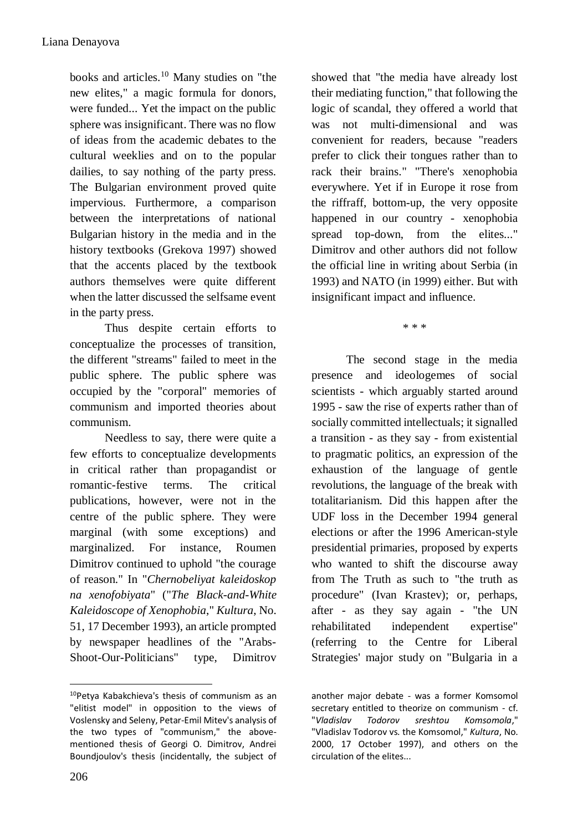books and articles.<sup>10</sup> Many studies on "the new elites," a magic formula for donors, were funded... Yet the impact on the public sphere was insignificant. There was no flow of ideas from the academic debates to the cultural weeklies and on to the popular dailies, to say nothing of the party press. The Bulgarian environment proved quite impervious. Furthermore, a comparison between the interpretations of national Bulgarian history in the media and in the history textbooks (Grekova 1997) showed that the accents placed by the textbook authors themselves were quite different when the latter discussed the selfsame event in the party press.

Thus despite certain efforts to conceptualize the processes of transition, the different "streams" failed to meet in the public sphere. The public sphere was occupied by the "corporal" memories of communism and imported theories about communism.

Needless to say, there were quite a few efforts to conceptualize developments in critical rather than propagandist or romantic-festive terms. The critical publications, however, were not in the centre of the public sphere. They were marginal (with some exceptions) and marginalized. For instance, Roumen Dimitrov continued to uphold "the courage of reason." In "*Chernobeliyat kaleidoskop na xenofobiyata*" ("*The Black-and-White Kaleidoscope of Xenophobia*," *Kultura*, No. 51, 17 December 1993), an article prompted by newspaper headlines of the "Arabs-Shoot-Our-Politicians" type, Dimitrov

showed that "the media have already lost their mediating function," that following the logic of scandal, they offered a world that was not multi-dimensional and was convenient for readers, because "readers prefer to click their tongues rather than to rack their brains." "There's xenophobia everywhere. Yet if in Europe it rose from the riffraff, bottom-up, the very opposite happened in our country - xenophobia spread top-down, from the elites..." Dimitrov and other authors did not follow the official line in writing about Serbia (in 1993) and NATO (in 1999) either. But with insignificant impact and influence.

\* \* \*

The second stage in the media presence and ideologemes of social scientists - which arguably started around 1995 - saw the rise of experts rather than of socially committed intellectuals; it signalled a transition - as they say - from existential to pragmatic politics, an expression of the exhaustion of the language of gentle revolutions, the language of the break with totalitarianism. Did this happen after the UDF loss in the December 1994 general elections or after the 1996 American-style presidential primaries, proposed by experts who wanted to shift the discourse away from The Truth as such to "the truth as procedure" (Ivan Krastev); or, perhaps, after - as they say again - "the UN rehabilitated independent expertise" (referring to the Centre for Liberal Strategies' major study on "Bulgaria in a

<sup>1</sup> <sup>10</sup>Petya Kabakchieva's thesis of communism as an "elitist model" in opposition to the views of Voslensky and Seleny, Petar-Emil Mitev's analysis of the two types of "communism," the abovementioned thesis of Georgi O. Dimitrov, Andrei Boundjoulov's thesis (incidentally, the subject of

another major debate - was a former Komsomol secretary entitled to theorize on communism - cf.<br>"Vladislav Todorov sreshtou Komsomola." "*Vladislav Todorov sreshtou Komsomola*," "Vladislav Todorov vs. the Komsomol," *Kultura*, No. 2000, 17 October 1997), and others on the circulation of the elites...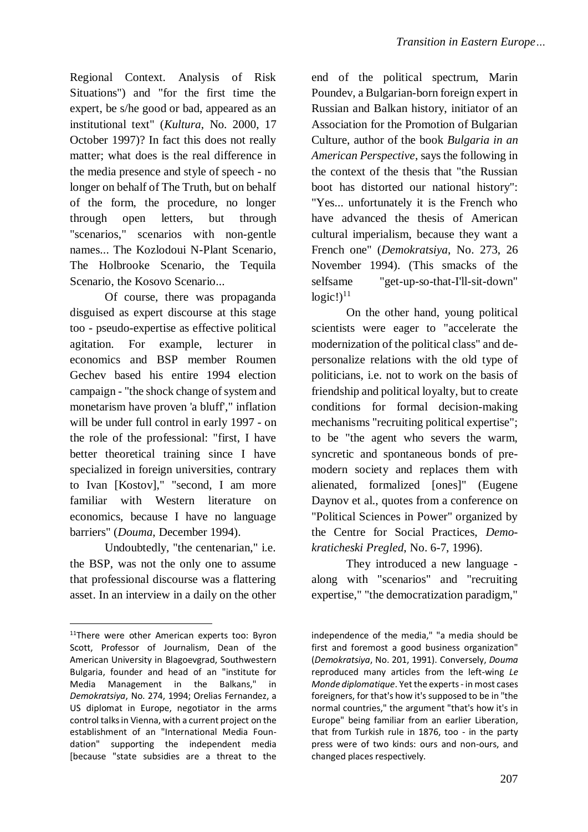Regional Context. Analysis of Risk Situations") and "for the first time the expert, be s/he good or bad, appeared as an institutional text" (*Kultura*, No. 2000, 17 October 1997)? In fact this does not really matter; what does is the real difference in the media presence and style of speech - no longer on behalf of The Truth, but on behalf of the form, the procedure, no longer through open letters, but through "scenarios," scenarios with non-gentle names... The Kozlodoui N-Plant Scenario, The Holbrooke Scenario, the Tequila Scenario, the Kosovo Scenario...

Of course, there was propaganda disguised as expert discourse at this stage too - pseudo-expertise as effective political agitation. For example, lecturer in economics and BSP member Roumen Gechev based his entire 1994 election campaign - "the shock change of system and monetarism have proven 'a bluff'," inflation will be under full control in early 1997 - on the role of the professional: "first, I have better theoretical training since I have specialized in foreign universities, contrary to Ivan [Kostov]," "second, I am more familiar with Western literature on economics, because I have no language barriers" (*Douma*, December 1994).

Undoubtedly, "the centenarian," i.e. the BSP, was not the only one to assume that professional discourse was a flattering asset. In an interview in a daily on the other

<u>.</u>

end of the political spectrum, Marin Poundev, a Bulgarian-born foreign expert in Russian and Balkan history, initiator of an Association for the Promotion of Bulgarian Culture, author of the book *Bulgaria in an American Perspective*, says the following in the context of the thesis that "the Russian boot has distorted our national history": "Yes... unfortunately it is the French who have advanced the thesis of American cultural imperialism, because they want a French one" (*Demokratsiya*, No. 273, 26 November 1994). (This smacks of the selfsame "get-up-so-that-I'll-sit-down"  $logic!)^{11}$ 

On the other hand, young political scientists were eager to "accelerate the modernization of the political class" and depersonalize relations with the old type of politicians, i.e. not to work on the basis of friendship and political loyalty, but to create conditions for formal decision-making mechanisms "recruiting political expertise"; to be "the agent who severs the warm, syncretic and spontaneous bonds of premodern society and replaces them with alienated, formalized [ones]" (Eugene Daynov et al., quotes from a conference on "Political Sciences in Power" organized by the Centre for Social Practices, *Demokraticheski Pregled*, No. 6-7, 1996).

They introduced a new language along with "scenarios" and "recruiting expertise," "the democratization paradigm,"

<sup>&</sup>lt;sup>11</sup>There were other American experts too: Byron Scott, Professor of Journalism, Dean of the American University in Blagoevgrad, Southwestern Bulgaria, founder and head of an "institute for Media Management in the Balkans," in *Demokratsiya*, No. 274, 1994; Orelias Fernandez, a US diplomat in Europe, negotiator in the arms control talks in Vienna, with a current project on the establishment of an "International Media Foundation" supporting the independent media [because "state subsidies are a threat to the

independence of the media," "a media should be first and foremost a good business organization" (*Demokratsiya*, No. 201, 1991). Conversely, *Douma* reproduced many articles from the left-wing *Le Monde diplomatique*. Yet the experts - in most cases foreigners, for that's how it's supposed to be in "the normal countries," the argument "that's how it's in Europe" being familiar from an earlier Liberation, that from Turkish rule in 1876, too - in the party press were of two kinds: ours and non-ours, and changed places respectively.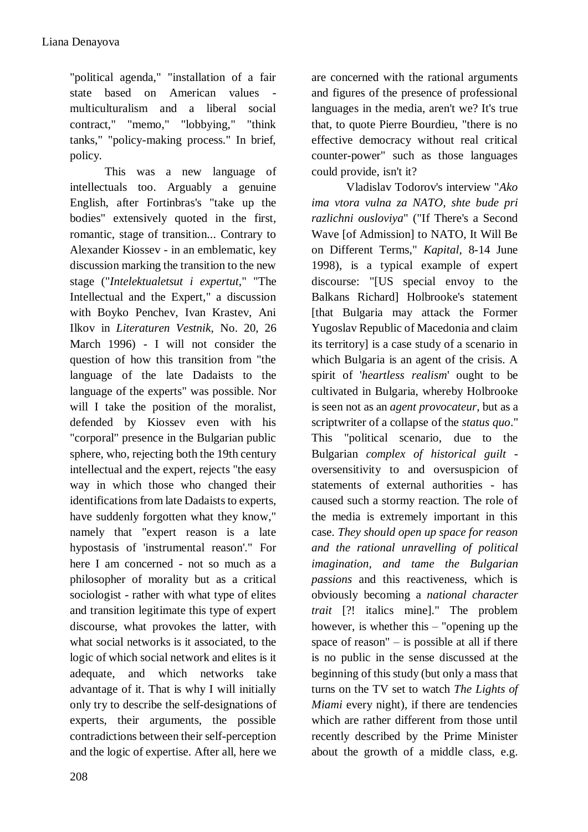"political agenda," "installation of a fair state based on American values multiculturalism and a liberal social contract," "memo," "lobbying," "think tanks," "policy-making process." In brief, policy.

This was a new language of intellectuals too. Arguably a genuine English, after Fortinbras's "take up the bodies" extensively quoted in the first, romantic, stage of transition... Contrary to Alexander Kiossev - in an emblematic, key discussion marking the transition to the new stage ("*Intelektualetsut i expertut*," "The Intellectual and the Expert," a discussion with Boyko Penchev, Ivan Krastev, Ani Ilkov in *Literaturen Vestnik*, No. 20, 26 March 1996) - I will not consider the question of how this transition from "the language of the late Dadaists to the language of the experts" was possible. Nor will I take the position of the moralist, defended by Kiossev even with his "corporal" presence in the Bulgarian public sphere, who, rejecting both the 19th century intellectual and the expert, rejects "the easy way in which those who changed their identifications from late Dadaists to experts, have suddenly forgotten what they know," namely that "expert reason is a late hypostasis of 'instrumental reason'." For here I am concerned - not so much as a philosopher of morality but as a critical sociologist - rather with what type of elites and transition legitimate this type of expert discourse, what provokes the latter, with what social networks is it associated, to the logic of which social network and elites is it adequate, and which networks take advantage of it. That is why I will initially only try to describe the self-designations of experts, their arguments, the possible contradictions between their self-perception and the logic of expertise. After all, here we

are concerned with the rational arguments and figures of the presence of professional languages in the media, aren't we? It's true that, to quote Pierre Bourdieu, "there is no effective democracy without real critical counter-power" such as those languages could provide, isn't it?

Vladislav Todorov's interview "*Ako ima vtora vulna za NATO, shte bude pri razlichni ousloviya*" ("If There's a Second Wave [of Admission] to NATO, It Will Be on Different Terms," *Kapital*, 8-14 June 1998), is a typical example of expert discourse: "[US special envoy to the Balkans Richard] Holbrooke's statement [that Bulgaria may attack the Former Yugoslav Republic of Macedonia and claim its territory] is a case study of a scenario in which Bulgaria is an agent of the crisis. A spirit of '*heartless realism*' ought to be cultivated in Bulgaria, whereby Holbrooke is seen not as an *agent provocateur*, but as a scriptwriter of a collapse of the *status quo*." This "political scenario, due to the Bulgarian *complex of historical guilt* oversensitivity to and oversuspicion of statements of external authorities - has caused such a stormy reaction. The role of the media is extremely important in this case. *They should open up space for reason and the rational unravelling of political imagination, and tame the Bulgarian passions* and this reactiveness, which is obviously becoming a *national character trait* [?! italics mine]." The problem however, is whether this – "opening up the space of reason" – is possible at all if there is no public in the sense discussed at the beginning of this study (but only a mass that turns on the TV set to watch *The Lights of Miami* every night), if there are tendencies which are rather different from those until recently described by the Prime Minister about the growth of a middle class, e.g.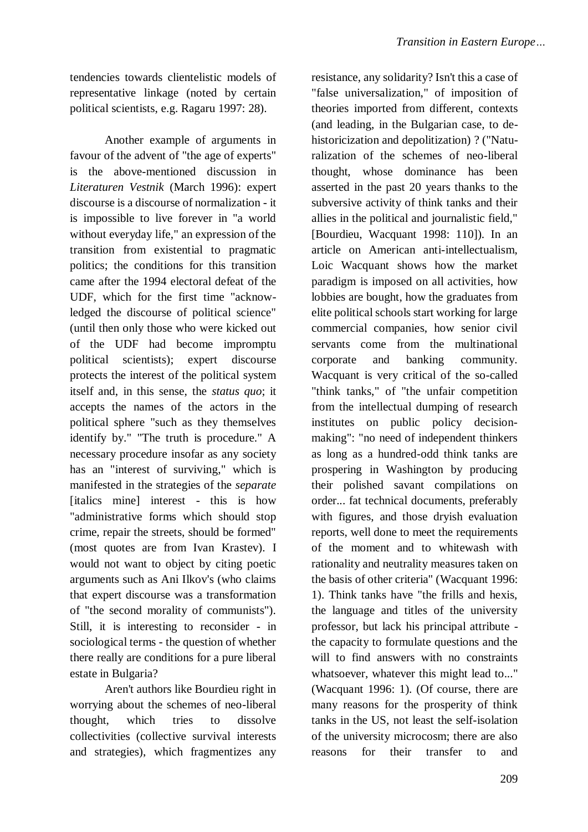tendencies towards clientelistic models of representative linkage (noted by certain political scientists, e.g. Ragaru 1997: 28).

Another example of arguments in favour of the advent of "the age of experts" is the above-mentioned discussion in *Literaturen Vestnik* (March 1996): expert discourse is a discourse of normalization - it is impossible to live forever in "a world without everyday life," an expression of the transition from existential to pragmatic politics; the conditions for this transition came after the 1994 electoral defeat of the UDF, which for the first time "acknowledged the discourse of political science" (until then only those who were kicked out of the UDF had become impromptu political scientists); expert discourse protects the interest of the political system itself and, in this sense, the *status quo*; it accepts the names of the actors in the political sphere "such as they themselves identify by." "The truth is procedure." A necessary procedure insofar as any society has an "interest of surviving," which is manifested in the strategies of the *separate* [italics mine] interest - this is how "administrative forms which should stop crime, repair the streets, should be formed" (most quotes are from Ivan Krastev). I would not want to object by citing poetic arguments such as Ani Ilkov's (who claims that expert discourse was a transformation of "the second morality of communists"). Still, it is interesting to reconsider - in sociological terms - the question of whether there really are conditions for a pure liberal estate in Bulgaria?

Aren't authors like Bourdieu right in worrying about the schemes of neo-liberal thought, which tries to dissolve collectivities (collective survival interests and strategies), which fragmentizes any

resistance, any solidarity? Isn't this a case of "false universalization," of imposition of theories imported from different, contexts (and leading, in the Bulgarian case, to dehistoricization and depolitization) ? ("Naturalization of the schemes of neo-liberal thought, whose dominance has been asserted in the past 20 years thanks to the subversive activity of think tanks and their allies in the political and journalistic field," [Bourdieu, Wacquant 1998: 110]). In an article on American anti-intellectualism, Loic Wacquant shows how the market paradigm is imposed on all activities, how lobbies are bought, how the graduates from elite political schools start working for large commercial companies, how senior civil servants come from the multinational corporate and banking community. Wacquant is very critical of the so-called "think tanks," of "the unfair competition from the intellectual dumping of research institutes on public policy decisionmaking": "no need of independent thinkers as long as a hundred-odd think tanks are prospering in Washington by producing their polished savant compilations on order... fat technical documents, preferably with figures, and those dryish evaluation reports, well done to meet the requirements of the moment and to whitewash with rationality and neutrality measures taken on the basis of other criteria" (Wacquant 1996: 1). Think tanks have "the frills and hexis, the language and titles of the university professor, but lack his principal attribute the capacity to formulate questions and the will to find answers with no constraints whatsoever, whatever this might lead to..." (Wacquant 1996: 1). (Of course, there are many reasons for the prosperity of think tanks in the US, not least the self-isolation of the university microcosm; there are also reasons for their transfer to and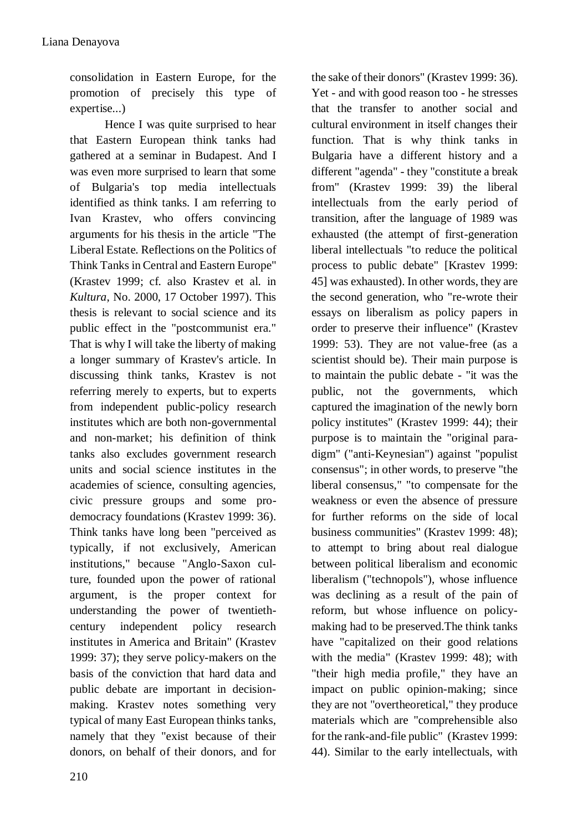consolidation in Eastern Europe, for the promotion of precisely this type of expertise...)

Hence I was quite surprised to hear that Eastern European think tanks had gathered at a seminar in Budapest. And I was even more surprised to learn that some of Bulgaria's top media intellectuals identified as think tanks. I am referring to Ivan Krastev, who offers convincing arguments for his thesis in the article "The Liberal Estate. Reflections on the Politics of Think Tanks in Central and Eastern Europe" (Krastev 1999; cf. also Krastev et al. in *Kultura*, No. 2000, 17 October 1997). This thesis is relevant to social science and its public effect in the "postcommunist era." That is why I will take the liberty of making a longer summary of Krastev's article. In discussing think tanks, Krastev is not referring merely to experts, but to experts from independent public-policy research institutes which are both non-governmental and non-market; his definition of think tanks also excludes government research units and social science institutes in the academies of science, consulting agencies, civic pressure groups and some prodemocracy foundations (Krastev 1999: 36). Think tanks have long been "perceived as typically, if not exclusively, American institutions," because "Anglo-Saxon culture, founded upon the power of rational argument, is the proper context for understanding the power of twentiethcentury independent policy research institutes in America and Britain" (Krastev 1999: 37); they serve policy-makers on the basis of the conviction that hard data and public debate are important in decisionmaking. Krastev notes something very typical of many East European thinks tanks, namely that they "exist because of their donors, on behalf of their donors, and for

Yet - and with good reason too - he stresses that the transfer to another social and cultural environment in itself changes their function. That is why think tanks in Bulgaria have a different history and a different "agenda" - they "constitute a break from" (Krastev 1999: 39) the liberal intellectuals from the early period of transition, after the language of 1989 was exhausted (the attempt of first-generation liberal intellectuals "to reduce the political process to public debate" [Krastev 1999: 45] was exhausted). In other words, they are the second generation, who "re-wrote their essays on liberalism as policy papers in order to preserve their influence" (Krastev 1999: 53). They are not value-free (as a scientist should be). Their main purpose is to maintain the public debate - "it was the public, not the governments, which captured the imagination of the newly born policy institutes" (Krastev 1999: 44); their purpose is to maintain the "original paradigm" ("anti-Keynesian") against "populist consensus"; in other words, to preserve "the liberal consensus," "to compensate for the weakness or even the absence of pressure for further reforms on the side of local business communities" (Krastev 1999: 48); to attempt to bring about real dialogue between political liberalism and economic liberalism ("technopols"), whose influence was declining as a result of the pain of reform, but whose influence on policymaking had to be preserved.The think tanks have "capitalized on their good relations with the media" (Krastev 1999: 48); with "their high media profile," they have an impact on public opinion-making; since they are not "overtheoretical," they produce materials which are "comprehensible also for the rank-and-file public" (Krastev 1999: 44). Similar to the early intellectuals, with

the sake of their donors" (Krastev 1999: 36).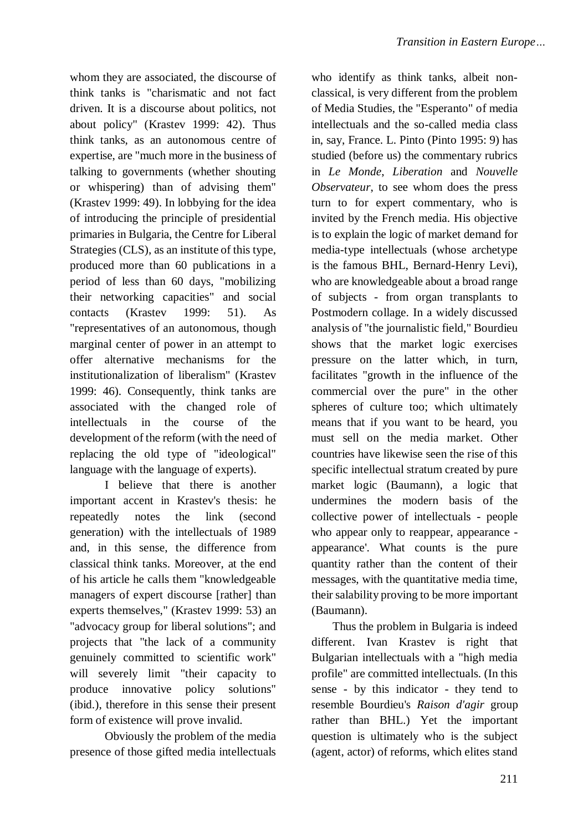whom they are associated, the discourse of think tanks is "charismatic and not fact driven. It is a discourse about politics, not about policy" (Krastev 1999: 42). Thus think tanks, as an autonomous centre of expertise, are "much more in the business of talking to governments (whether shouting or whispering) than of advising them" (Krastev 1999: 49). In lobbying for the idea of introducing the principle of presidential primaries in Bulgaria, the Centre for Liberal Strategies (CLS), as an institute of this type, produced more than 60 publications in a period of less than 60 days, "mobilizing their networking capacities" and social contacts (Krastev 1999: 51). As "representatives of an autonomous, though marginal center of power in an attempt to offer alternative mechanisms for the institutionalization of liberalism" (Krastev 1999: 46). Consequently, think tanks are associated with the changed role of intellectuals in the course of the development of the reform (with the need of replacing the old type of "ideological" language with the language of experts).

I believe that there is another important accent in Krastev's thesis: he repeatedly notes the link (second generation) with the intellectuals of 1989 and, in this sense, the difference from classical think tanks. Moreover, at the end of his article he calls them "knowledgeable managers of expert discourse [rather] than experts themselves," (Krastev 1999: 53) an "advocacy group for liberal solutions"; and projects that "the lack of a community genuinely committed to scientific work" will severely limit "their capacity to produce innovative policy solutions" (ibid.), therefore in this sense their present form of existence will prove invalid.

Obviously the problem of the media presence of those gifted media intellectuals

who identify as think tanks, albeit nonclassical, is very different from the problem of Media Studies, the "Esperanto" of media intellectuals and the so-called media class in, say, France. L. Pinto (Pinto 1995: 9) has studied (before us) the commentary rubrics in *Le Monde*, *Liberation* and *Nouvelle Observateur*, to see whom does the press turn to for expert commentary, who is invited by the French media. His objective is to explain the logic of market demand for media-type intellectuals (whose archetype is the famous BHL, Bernard-Henry Levi), who are knowledgeable about a broad range of subjects - from organ transplants to Postmodern collage. In a widely discussed analysis of "the journalistic field," Bourdieu shows that the market logic exercises pressure on the latter which, in turn, facilitates "growth in the influence of the commercial over the pure" in the other spheres of culture too; which ultimately means that if you want to be heard, you must sell on the media market. Other countries have likewise seen the rise of this specific intellectual stratum created by pure market logic (Baumann), a logic that undermines the modern basis of the collective power of intellectuals - people who appear only to reappear, appearance appearance'. What counts is the pure quantity rather than the content of their messages, with the quantitative media time, their salability proving to be more important (Baumann).

Thus the problem in Bulgaria is indeed different. Ivan Krastev is right that Bulgarian intellectuals with a "high media profile" are committed intellectuals. (In this sense - by this indicator - they tend to resemble Bourdieu's *Raison d'agir* group rather than BHL.) Yet the important question is ultimately who is the subject (agent, actor) of reforms, which elites stand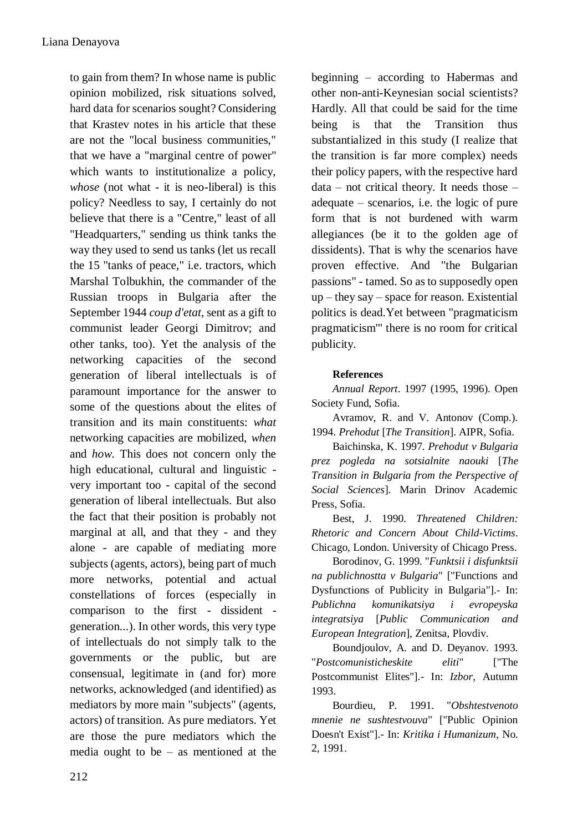to gain from them? In whose name is public opinion mobilized, risk situations solved, hard data for scenarios sought? Considering that Krastev notes in his article that these are not the "local business communities," that we have a "marginal centre of power" which wants to institutionalize a policy, *whose* (not what - it is neo-liberal) is this policy? Needless to say, I certainly do not believe that there is a "Centre," least of all "Headquarters," sending us think tanks the way they used to send us tanks (let us recall the 15 "tanks of peace," i.e. tractors, which Marshal Tolbukhin, the commander of the Russian troops in Bulgaria after the September 1944 *coup d'etat*, sent as a gift to communist leader Georgi Dimitrov; and other tanks, too). Yet the analysis of the networking capacities of the second generation of liberal intellectuals is of paramount importance for the answer to some of the questions about the elites of transition and its main constituents: *what* networking capacities are mobilized, *when* and *how*. This does not concern only the high educational, cultural and linguistic very important too - capital of the second generation of liberal intellectuals. But also the fact that their position is probably not marginal at all, and that they - and they alone - are capable of mediating more subjects (agents, actors), being part of much more networks, potential and actual constellations of forces (especially in comparison to the first - dissident generation...). In other words, this very type of intellectuals do not simply talk to the governments or the public, but are consensual, legitimate in (and for) more networks, acknowledged (and identified) as mediators by more main "subjects" (agents, actors) of transition. As pure mediators. Yet are those the pure mediators which the media ought to be – as mentioned at the

beginning – according to Habermas and other non-anti-Keynesian social scientists? Hardly. All that could be said for the time being is that the Transition thus substantialized in this study (I realize that the transition is far more complex) needs their policy papers, with the respective hard data – not critical theory. It needs those – adequate – scenarios, i.e. the logic of pure form that is not burdened with warm allegiances (be it to the golden age of dissidents). That is why the scenarios have proven effective. And "the Bulgarian passions" - tamed. So as to supposedly open up – they say – space for reason. Existential politics is dead.Yet between "pragmaticism pragmaticism'" there is no room for critical publicity.

## **References**

*Annual Report*. 1997 (1995, 1996). Open Society Fund, Sofia.

Avramov, R. and V. Antonov (Comp.). 1994. *Prehodut* [*The Transition*]. AIPR, Sofia.

Baichinska, K. 1997. *Prehodut v Bulgaria prez pogleda na sotsialnite naouki* [*The Transition in Bulgaria from the Perspective of Social Sciences*]. Marin Drinov Academic Press, Sofia.

Best, J. 1990. *Threatened Children: Rhetoric and Concern About Child-Victims*. Chicago, London. University of Chicago Press.

Borodinov, G. 1999. "*Funktsii i disfunktsii na publichnostta v Bulgaria*" ["Functions and Dysfunctions of Publicity in Bulgaria"].- In: *Publichna komunikatsiya i evropeyska integratsiya* [*Public Communication and European Integration*], Zenitsa, Plovdiv.

Boundjoulov, A. and D. Deyanov. 1993. "*Postcomunisticheskite eliti*" ["The Postcommunist Elites"].- In: *Izbor*, Autumn 1993.

Bourdieu, P. 1991. "*Obshtestvenoto mnenie ne sushtestvouva*" ["Public Opinion Doesn't Exist"].- In: *Kritika i Humanizum*, No. 2, 1991.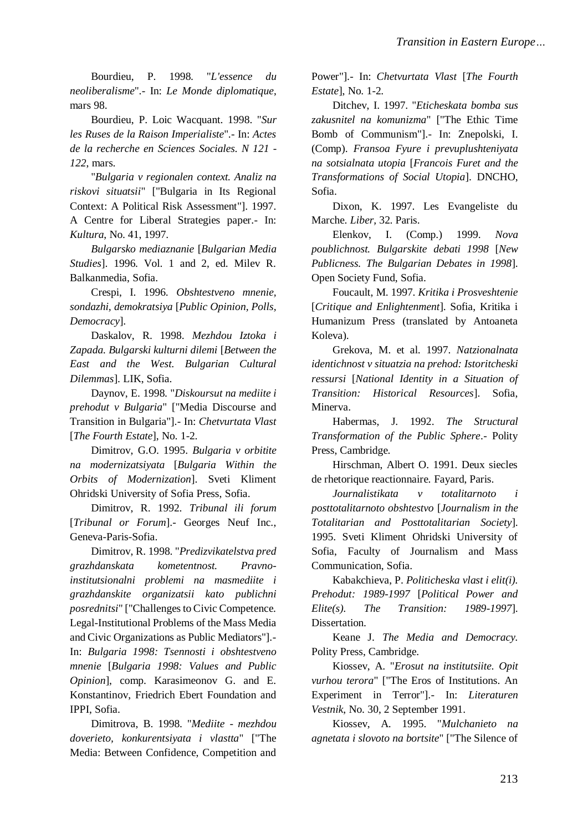Bourdieu, P. 1998. "*L'essence du neoliberalisme*".- In: *Le Monde diplomatique*, mars 98.

Bourdieu, P. Loic Wacquant. 1998. "*Sur les Ruses de la Raison Imperialiste*".- In: *Actes de la recherche en Sciences Sociales. N 121 - 122*, mars.

"*Bulgaria v regionalen context. Analiz na riskovi situatsii*" ["Bulgaria in Its Regional Context: A Political Risk Assessment"]. 1997. A Centre for Liberal Strategies paper.- In: *Kultura*, No. 41, 1997.

*Bulgarsko mediaznanie* [*Bulgarian Media Studies*]. 1996. Vol. 1 and 2, ed. Milev R. Balkanmedia, Sofia.

Crespi, I. 1996. *Obshtestveno mnenie, sondazhi, demokratsiya* [*Public Opinion, Polls, Democracy*].

Daskalov, R. 1998. *Mezhdou Iztoka i Zapada. Bulgarski kulturni dilemi* [*Between the East and the West. Bulgarian Cultural Dilemmas*]. LIK, Sofia.

Daynov, E. 1998. "*Diskoursut na mediite i prehodut v Bulgaria*" ["Media Discourse and Transition in Bulgaria"].- In: *Chetvurtata Vlast* [*The Fourth Estate*], No. 1-2.

Dimitrov, G.O. 1995. *Bulgaria v orbitite na modernizatsiyata* [*Bulgaria Within the Orbits of Modernization*]. Sveti Kliment Ohridski University of Sofia Press, Sofia.

Dimitrov, R. 1992. *Tribunal ili forum* [*Tribunal or Forum*].- Georges Neuf Inc., Geneva-Paris-Sofia.

Dimitrov, R. 1998. "*Predizvikatelstva pred grazhdanskata kometentnost. Pravnoinstitutsionalni problemi na masmediite i grazhdanskite organizatsii kato publichni posrednitsi*" ["Challenges to Civic Competence. Legal-Institutional Problems of the Mass Media and Civic Organizations as Public Mediators"].- In: *Bulgaria 1998: Tsennosti i obshtestveno mnenie* [*Bulgaria 1998: Values and Public Opinion*], comp. Karasimeonov G. and E. Konstantinov, Friedrich Ebert Foundation and IPPI, Sofia.

Dimitrova, B. 1998. "*Mediite - mezhdou doverieto, konkurentsiyata i vlastta*" ["The Media: Between Confidence, Competition and

Power"].- In: *Chetvurtata Vlast* [*The Fourth Estate*], No. 1-2.

Ditchev, I. 1997. "*Eticheskata bomba sus zakusnitel na komunizma*" ["The Ethic Time Bomb of Communism"].- In: Znepolski, I. (Comp). *Fransoa Fyure i prevuplushteniyata na sotsialnata utopia* [*Francois Furet and the Transformations of Social Utopia*]. DNCHO, Sofia.

Dixon, K. 1997. Les Evangeliste du Marche. *Liber,* 32. Paris.

Elenkov, I. (Comp.) 1999. *Nova poublichnost. Bulgarskite debati 1998* [*New Publicness. The Bulgarian Debates in 1998*]. Open Society Fund, Sofia.

Foucault, M. 1997. *Kritika i Prosveshtenie* [*Critique and Enlightenment*]. Sofia, Kritika i Humanizum Press (translated by Antoaneta Koleva).

Grekova, M. et al. 1997. *Natzionalnata identichnost v situatzia na prehod: Istoritcheski ressursi* [*National Identity in a Situation of Transition: Historical Resources*]. Sofia, Minerva.

Habermas, J. 1992. *The Structural Transformation of the Public Sphere*.- Polity Press, Cambridge.

Hirschman, Albert O. 1991. Deux siecles de rhetorique reactionnaire. Fayard, Paris.

*Journalistikata v totalitarnoto i posttotalitarnoto obshtestvo* [*Journalism in the Totalitarian and Posttotalitarian Society*]. 1995. Sveti Kliment Ohridski University of Sofia, Faculty of Journalism and Mass Communication, Sofia.

Kabakchieva, P. *Politicheska vlast i elit(i). Prehodut: 1989-1997* [*Political Power and Elite(s). The Transition: 1989-1997*]. Dissertation.

Keane J. *The Media and Democracy.* Polity Press, Cambridge.

Kiossev, A. "*Erosut na institutsiite. Opit vurhou terora*" ["The Eros of Institutions. An Experiment in Terror"].- In: *Literaturen Vestnik*, No. 30, 2 September 1991.

Kiossev, A. 1995. "*Mulchanieto na agnetata i slovoto na bortsite*" ["The Silence of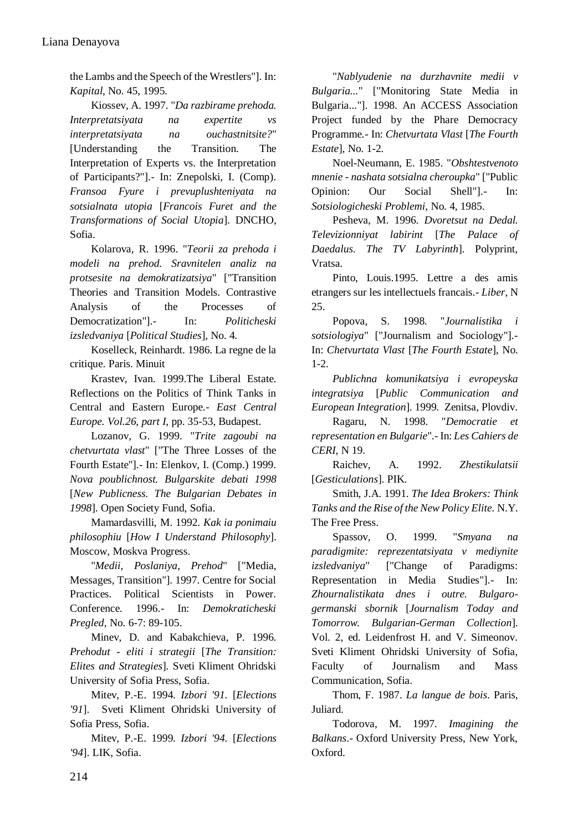the Lambs and the Speech of the Wrestlers"]. In: *Kapital*, No. 45, 1995.

Kiossev, A. 1997. "*Da razbirame prehoda. Interpretatsiyata na expertite vs interpretatsiyata na ouchastnitsite?*" [Understanding the Transition. The Interpretation of Experts vs. the Interpretation of Participants?"].- In: Znepolski, I. (Comp). *Fransoa Fyure i prevuplushteniyata na sotsialnata utopia* [*Francois Furet and the Transformations of Social Utopia*]. DNCHO, Sofia.

Kolarova, R. 1996. "*Teorii za prehoda i modeli na prehod. Sravnitelen analiz na protsesite na demokratizatsiya*" ["Transition Theories and Transition Models. Contrastive Analysis of the Processes of Democratization"].- In: *Politicheski izsledvaniya* [*Political Studies*], No. 4.

Koselleck, Reinhardt. 1986. La regne de la critique. Paris. Minuit

Krastev, Ivan. 1999.The Liberal Estate. Reflections on the Politics of Think Tanks in Central and Eastern Europe.- *East Central Europe. Vol.26, part I*, pp. 35-53, Budapest.

Lozanov, G. 1999. "*Trite zagoubi na chetvurtata vlast*" ["The Three Losses of the Fourth Estate"].- In: Elenkov, I. (Comp.) 1999. *Nova poublichnost. Bulgarskite debati 1998* [*New Publicness. The Bulgarian Debates in 1998*]. Open Society Fund, Sofia.

Mamardasvilli, M. 1992. *Kak ia ponimaiu philosophiu* [*How I Understand Philosophy*]. Moscow, Moskva Progress.

"*Medii, Poslaniya, Prehod*" ["Media, Messages, Transition"]. 1997. Centre for Social Practices. Political Scientists in Power. Conference. 1996.- In: *Demokraticheski Pregled*, No. 6-7: 89-105.

Minev, D. and Kabakchieva, P. 1996. *Prehodut - eliti i strategii* [*The Transition: Elites and Strategies*]. Sveti Kliment Ohridski University of Sofia Press, Sofia.

Mitev, P.-E. 1994. *Izbori '91.* [*Elections '91*]. Sveti Kliment Ohridski University of Sofia Press, Sofia.

Mitev, P.-E. 1999. *Izbori '94.* [*Elections '94*]. LIK, Sofia.

"*Nablyudenie na durzhavnite medii v Bulgaria...*" ["Monitoring State Media in Bulgaria..."]. 1998. An ACCESS Association Project funded by the Phare Democracy Programme.- In: *Chetvurtata Vlast* [*The Fourth Estate*], No. 1-2.

Noel-Neumann, E. 1985. "*Obshtestvenoto mnenie - nashata sotsialna cheroupka*" ["Public Opinion: Our Social Shell"].- In: *Sotsiologicheski Problemi*, No. 4, 1985.

Pesheva, M. 1996. *Dvoretsut na Dedal. Televizionniyat labirint* [*The Palace of Daedalus. The TV Labyrinth*]. Polyprint, Vratsa.

Pinto, Louis.1995. Lettre a des amis etrangers sur les intellectuels francais.- *Liber*, N 25.

Popova, S. 1998. "*Journalistika i sotsiologiya*" ["Journalism and Sociology"].- In: *Chetvurtata Vlast* [*The Fourth Estate*], No.  $1 - 2$ .

*Publichna komunikatsiya i evropeyska integratsiya* [*Public Communication and European Integration*]. 1999. Zenitsa, Plovdiv.

Ragaru, N. 1998. "*Democratie et representation en Bulgarie*".- In: *Les Cahiers de CERI*, N 19.

Raichev, A. 1992. *Zhestikulatsii* [*Gesticulations*]. PIK.

Smith, J.A. 1991. *The Idea Brokers: Think Tanks and the Rise of the New Policy Elite.* N.Y. The Free Press.

Spassov, O. 1999. "*Smyana na paradigmite: reprezentatsiyata v mediynite izsledvaniya*" ["Change of Paradigms: Representation in Media Studies"].- In: *Zhournalistikata dnes i outre. Bulgarogermanski sbornik* [*Journalism Today and Tomorrow. Bulgarian-German Collection*]. Vol. 2, ed. Leidenfrost H. and V. Simeonov. Sveti Kliment Ohridski University of Sofia, Faculty of Journalism and Mass Communication, Sofia.

Thom, F. 1987. *La langue de bois*. Paris, Juliard.

Todorova, M. 1997. *Imagining the Balkans*.- Oxford University Press, New York, Oxford.